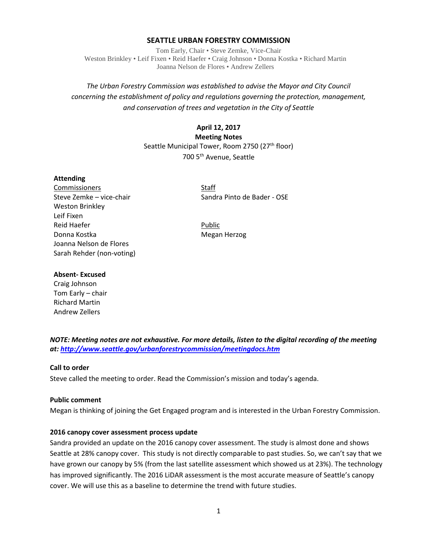### **SEATTLE URBAN FORESTRY COMMISSION**

Tom Early, Chair • Steve Zemke, Vice-Chair Weston Brinkley • Leif Fixen • Reid Haefer • Craig Johnson • Donna Kostka • Richard Martin Joanna Nelson de Flores • Andrew Zellers

# *The Urban Forestry Commission was established to advise the Mayor and City Council concerning the establishment of policy and regulations governing the protection, management, and conservation of trees and vegetation in the City of Seattle*

# **April 12, 2017**

**Meeting Notes** Seattle Municipal Tower, Room 2750 (27<sup>th</sup> floor) 700 5th Avenue, Seattle

#### **Attending**

Commissioners Staff Weston Brinkley Leif Fixen Reid Haefer **Public** Donna Kostka Megan Herzog Joanna Nelson de Flores Sarah Rehder (non-voting)

Steve Zemke – vice-chair Sandra Pinto de Bader - OSE

### **Absent- Excused**

Craig Johnson Tom Early – chair Richard Martin Andrew Zellers

*NOTE: Meeting notes are not exhaustive. For more details, listen to the digital recording of the meeting at:<http://www.seattle.gov/urbanforestrycommission/meetingdocs.htm>*

# **Call to order**

Steve called the meeting to order. Read the Commission's mission and today's agenda.

#### **Public comment**

Megan is thinking of joining the Get Engaged program and is interested in the Urban Forestry Commission.

#### **2016 canopy cover assessment process update**

Sandra provided an update on the 2016 canopy cover assessment. The study is almost done and shows Seattle at 28% canopy cover. This study is not directly comparable to past studies. So, we can't say that we have grown our canopy by 5% (from the last satellite assessment which showed us at 23%). The technology has improved significantly. The 2016 LiDAR assessment is the most accurate measure of Seattle's canopy cover. We will use this as a baseline to determine the trend with future studies.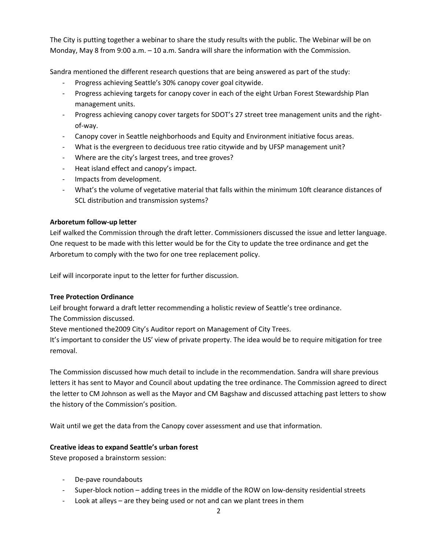The City is putting together a webinar to share the study results with the public. The Webinar will be on Monday, May 8 from 9:00 a.m. – 10 a.m. Sandra will share the information with the Commission.

Sandra mentioned the different research questions that are being answered as part of the study:

- Progress achieving Seattle's 30% canopy cover goal citywide.
- Progress achieving targets for canopy cover in each of the eight Urban Forest Stewardship Plan management units.
- Progress achieving canopy cover targets for SDOT's 27 street tree management units and the rightof-way.
- Canopy cover in Seattle neighborhoods and Equity and Environment initiative focus areas.
- What is the evergreen to deciduous tree ratio citywide and by UFSP management unit?
- Where are the city's largest trees, and tree groves?
- Heat island effect and canopy's impact.
- Impacts from development.
- What's the volume of vegetative material that falls within the minimum 10ft clearance distances of SCL distribution and transmission systems?

# **Arboretum follow-up letter**

Leif walked the Commission through the draft letter. Commissioners discussed the issue and letter language. One request to be made with this letter would be for the City to update the tree ordinance and get the Arboretum to comply with the two for one tree replacement policy.

Leif will incorporate input to the letter for further discussion.

# **Tree Protection Ordinance**

Leif brought forward a draft letter recommending a holistic review of Seattle's tree ordinance. The Commission discussed.

Steve mentioned the2009 City's Auditor report on Management of City Trees.

It's important to consider the US' view of private property. The idea would be to require mitigation for tree removal.

The Commission discussed how much detail to include in the recommendation. Sandra will share previous letters it has sent to Mayor and Council about updating the tree ordinance. The Commission agreed to direct the letter to CM Johnson as well as the Mayor and CM Bagshaw and discussed attaching past letters to show the history of the Commission's position.

Wait until we get the data from the Canopy cover assessment and use that information.

# **Creative ideas to expand Seattle's urban forest**

Steve proposed a brainstorm session:

- De-pave roundabouts
- Super-block notion adding trees in the middle of the ROW on low-density residential streets
- Look at alleys are they being used or not and can we plant trees in them